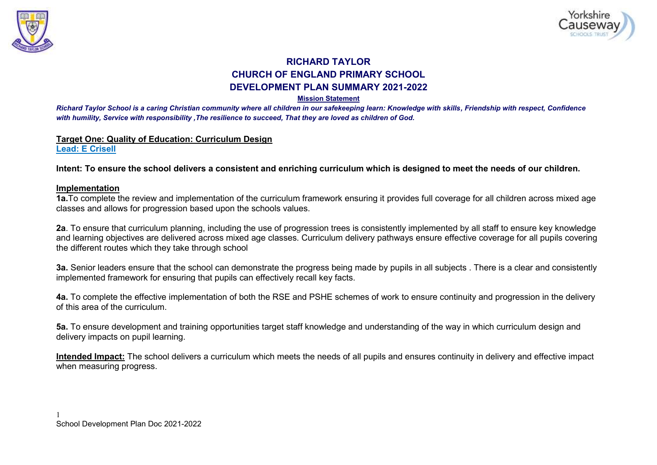



# **RICHARD TAYLOR CHURCH OF ENGLAND PRIMARY SCHOOL DEVELOPMENT PLAN SUMMARY 2021-2022**

#### **Mission Statement**

*Richard Taylor School is a caring Christian community where all children in our safekeeping learn: Knowledge with skills, Friendship with respect, Confidence with humility, Service with responsibility ,The resilience to succeed, That they are loved as children of God.*

#### **Target One: Quality of Education: Curriculum Design Lead: E Crisell**

**Intent: To ensure the school delivers a consistent and enriching curriculum which is designed to meet the needs of our children.** 

### **Implementation**

**1a.**To complete the review and implementation of the curriculum framework ensuring it provides full coverage for all children across mixed age classes and allows for progression based upon the schools values.

**2a**. To ensure that curriculum planning, including the use of progression trees is consistently implemented by all staff to ensure key knowledge and learning objectives are delivered across mixed age classes. Curriculum delivery pathways ensure effective coverage for all pupils covering the different routes which they take through school

**3a.** Senior leaders ensure that the school can demonstrate the progress being made by pupils in all subjects . There is a clear and consistently implemented framework for ensuring that pupils can effectively recall key facts.

**4a.** To complete the effective implementation of both the RSE and PSHE schemes of work to ensure continuity and progression in the delivery of this area of the curriculum.

**5a.** To ensure development and training opportunities target staff knowledge and understanding of the way in which curriculum design and delivery impacts on pupil learning.

**Intended Impact:** The school delivers a curriculum which meets the needs of all pupils and ensures continuity in delivery and effective impact when measuring progress.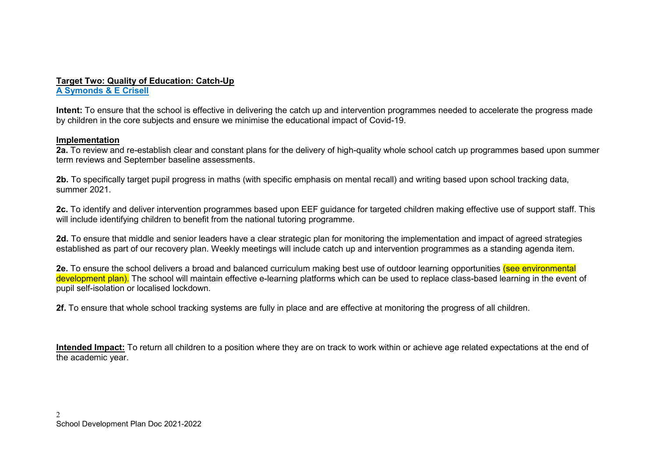#### **Target Two: Quality of Education: Catch-Up A Symonds & E Crisell**

**Intent:** To ensure that the school is effective in delivering the catch up and intervention programmes needed to accelerate the progress made by children in the core subjects and ensure we minimise the educational impact of Covid-19.

## **Implementation**

**2a.** To review and re-establish clear and constant plans for the delivery of high-quality whole school catch up programmes based upon summer term reviews and September baseline assessments.

**2b.** To specifically target pupil progress in maths (with specific emphasis on mental recall) and writing based upon school tracking data, summer 2021.

**2c.** To identify and deliver intervention programmes based upon EEF guidance for targeted children making effective use of support staff. This will include identifying children to benefit from the national tutoring programme.

**2d.** To ensure that middle and senior leaders have a clear strategic plan for monitoring the implementation and impact of agreed strategies established as part of our recovery plan. Weekly meetings will include catch up and intervention programmes as a standing agenda item.

**2e.** To ensure the school delivers a broad and balanced curriculum making best use of outdoor learning opportunities (see environmental development plan). The school will maintain effective e-learning platforms which can be used to replace class-based learning in the event of pupil self-isolation or localised lockdown.

**2f.** To ensure that whole school tracking systems are fully in place and are effective at monitoring the progress of all children.

**Intended Impact:** To return all children to a position where they are on track to work within or achieve age related expectations at the end of the academic year.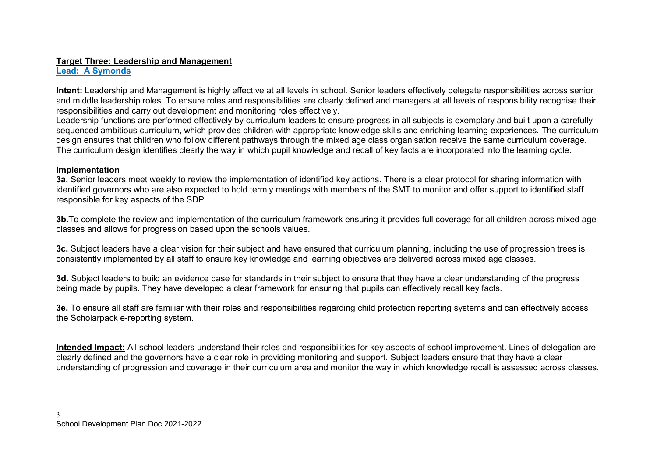# **Target Three: Leadership and Management**

# **Lead: A Symonds**

**Intent:** Leadership and Management is highly effective at all levels in school. Senior leaders effectively delegate responsibilities across senior and middle leadership roles. To ensure roles and responsibilities are clearly defined and managers at all levels of responsibility recognise their responsibilities and carry out development and monitoring roles effectively.

Leadership functions are performed effectively by curriculum leaders to ensure progress in all subjects is exemplary and built upon a carefully sequenced ambitious curriculum, which provides children with appropriate knowledge skills and enriching learning experiences. The curriculum design ensures that children who follow different pathways through the mixed age class organisation receive the same curriculum coverage. The curriculum design identifies clearly the way in which pupil knowledge and recall of key facts are incorporated into the learning cycle.

### **Implementation**

**3a.** Senior leaders meet weekly to review the implementation of identified key actions. There is a clear protocol for sharing information with identified governors who are also expected to hold termly meetings with members of the SMT to monitor and offer support to identified staff responsible for key aspects of the SDP.

**3b.** To complete the review and implementation of the curriculum framework ensuring it provides full coverage for all children across mixed age classes and allows for progression based upon the schools values.

**3c.** Subject leaders have a clear vision for their subject and have ensured that curriculum planning, including the use of progression trees is consistently implemented by all staff to ensure key knowledge and learning objectives are delivered across mixed age classes.

**3d.** Subject leaders to build an evidence base for standards in their subject to ensure that they have a clear understanding of the progress being made by pupils. They have developed a clear framework for ensuring that pupils can effectively recall key facts.

**3e.** To ensure all staff are familiar with their roles and responsibilities regarding child protection reporting systems and can effectively access the Scholarpack e-reporting system.

**Intended Impact:** All school leaders understand their roles and responsibilities for key aspects of school improvement. Lines of delegation are clearly defined and the governors have a clear role in providing monitoring and support. Subject leaders ensure that they have a clear understanding of progression and coverage in their curriculum area and monitor the way in which knowledge recall is assessed across classes.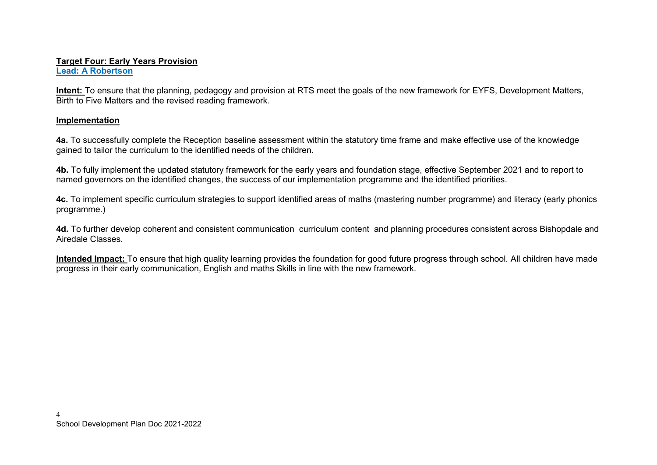#### **Target Four: Early Years Provision Lead: A Robertson**

**Intent:** To ensure that the planning, pedagogy and provision at RTS meet the goals of the new framework for EYFS, Development Matters, Birth to Five Matters and the revised reading framework.

### **Implementation**

**4a.** To successfully complete the Reception baseline assessment within the statutory time frame and make effective use of the knowledge gained to tailor the curriculum to the identified needs of the children.

**4b.** To fully implement the updated statutory framework for the early years and foundation stage, effective September 2021 and to report to named governors on the identified changes, the success of our implementation programme and the identified priorities.

**4c.** To implement specific curriculum strategies to support identified areas of maths (mastering number programme) and literacy (early phonics programme.)

**4d.** To further develop coherent and consistent communication curriculum content and planning procedures consistent across Bishopdale and Airedale Classes.

**Intended Impact:** To ensure that high quality learning provides the foundation for good future progress through school. All children have made progress in their early communication, English and maths Skills in line with the new framework.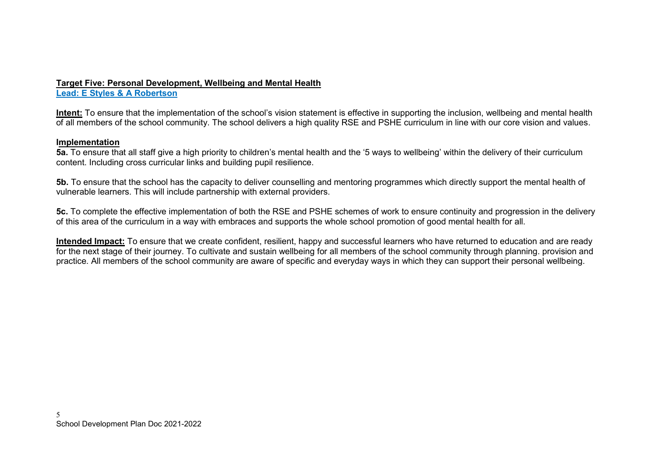# **Target Five: Personal Development, Wellbeing and Mental Health**

**Lead: E Styles & A Robertson** 

**Intent:** To ensure that the implementation of the school's vision statement is effective in supporting the inclusion, wellbeing and mental health of all members of the school community. The school delivers a high quality RSE and PSHE curriculum in line with our core vision and values.

# **Implementation**

**5a.** To ensure that all staff give a high priority to children's mental health and the '5 ways to wellbeing' within the delivery of their curriculum content. Including cross curricular links and building pupil resilience.

**5b.** To ensure that the school has the capacity to deliver counselling and mentoring programmes which directly support the mental health of vulnerable learners. This will include partnership with external providers.

**5c.** To complete the effective implementation of both the RSE and PSHE schemes of work to ensure continuity and progression in the delivery of this area of the curriculum in a way with embraces and supports the whole school promotion of good mental health for all.

**Intended Impact:** To ensure that we create confident, resilient, happy and successful learners who have returned to education and are ready for the next stage of their journey. To cultivate and sustain wellbeing for all members of the school community through planning. provision and practice. All members of the school community are aware of specific and everyday ways in which they can support their personal wellbeing.